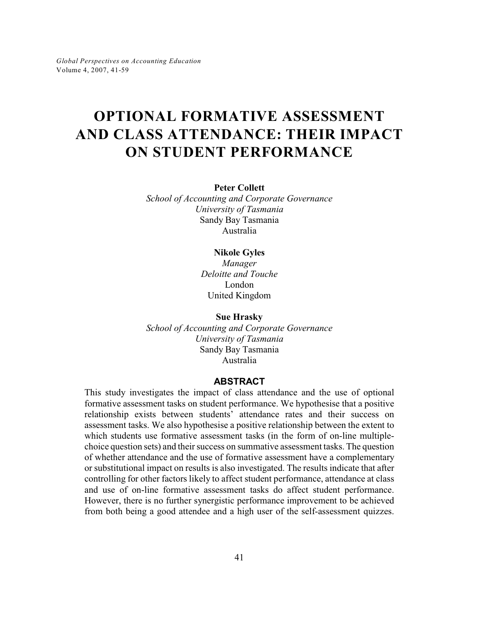# **OPTIONAL FORMATIVE ASSESSMENT AND CLASS ATTENDANCE: THEIR IMPACT ON STUDENT PERFORMANCE**

**Peter Collett**

*School of Accounting and Corporate Governance University of Tasmania* Sandy Bay Tasmania Australia

## **Nikole Gyles**

*Manager Deloitte and Touche* London United Kingdom

**Sue Hrasky**

*School of Accounting and Corporate Governance University of Tasmania* Sandy Bay Tasmania Australia

## **ABSTRACT**

This study investigates the impact of class attendance and the use of optional formative assessment tasks on student performance. We hypothesise that a positive relationship exists between students' attendance rates and their success on assessment tasks. We also hypothesise a positive relationship between the extent to which students use formative assessment tasks (in the form of on-line multiplechoice question sets) and their success on summative assessment tasks. The question of whether attendance and the use of formative assessment have a complementary or substitutional impact on results is also investigated. The results indicate that after controlling for other factors likely to affect student performance, attendance at class and use of on-line formative assessment tasks do affect student performance. However, there is no further synergistic performance improvement to be achieved from both being a good attendee and a high user of the self-assessment quizzes.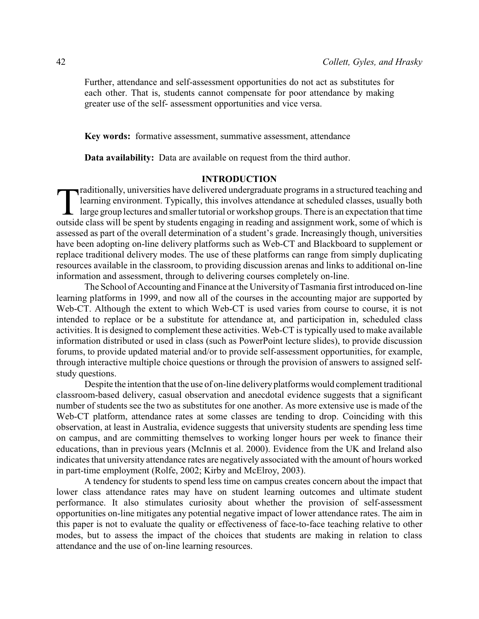Further, attendance and self-assessment opportunities do not act as substitutes for each other. That is, students cannot compensate for poor attendance by making greater use of the self- assessment opportunities and vice versa.

**Key words:** formative assessment, summative assessment, attendance

**Data availability:** Data are available on request from the third author.

## **INTRODUCTION**

raditionally, universities have delivered undergraduate programs in a structured teaching and learning environment. Typically, this involves attendance at scheduled classes, usually both large group lectures and smaller tu raditionally, universities have delivered undergraduate programs in a structured teaching and learning environment. Typically, this involves attendance at scheduled classes, usually both  $\mathsf{L}\;$  large group lectures and smaller tutorial or workshop groups. There is an expectation that time assessed as part of the overall determination of a student's grade. Increasingly though, universities have been adopting on-line delivery platforms such as Web-CT and Blackboard to supplement or replace traditional delivery modes. The use of these platforms can range from simply duplicating resources available in the classroom, to providing discussion arenas and links to additional on-line information and assessment, through to delivering courses completely on-line.

The School of Accounting and Finance at the University of Tasmania first introduced on-line learning platforms in 1999, and now all of the courses in the accounting major are supported by Web-CT. Although the extent to which Web-CT is used varies from course to course, it is not intended to replace or be a substitute for attendance at, and participation in, scheduled class activities. It is designed to complement these activities. Web-CT is typically used to make available information distributed or used in class (such as PowerPoint lecture slides), to provide discussion forums, to provide updated material and/or to provide self-assessment opportunities, for example, through interactive multiple choice questions or through the provision of answers to assigned selfstudy questions.

Despite the intention that the use of on-line delivery platforms would complement traditional classroom-based delivery, casual observation and anecdotal evidence suggests that a significant number of students see the two as substitutes for one another. As more extensive use is made of the Web-CT platform, attendance rates at some classes are tending to drop. Coinciding with this observation, at least in Australia, evidence suggests that university students are spending less time on campus, and are committing themselves to working longer hours per week to finance their educations, than in previous years (McInnis et al. 2000). Evidence from the UK and Ireland also indicates that university attendance rates are negatively associated with the amount of hours worked in part-time employment (Rolfe, 2002; Kirby and McElroy, 2003).

A tendency for students to spend less time on campus creates concern about the impact that lower class attendance rates may have on student learning outcomes and ultimate student performance. It also stimulates curiosity about whether the provision of self-assessment opportunities on-line mitigates any potential negative impact of lower attendance rates. The aim in this paper is not to evaluate the quality or effectiveness of face-to-face teaching relative to other modes, but to assess the impact of the choices that students are making in relation to class attendance and the use of on-line learning resources.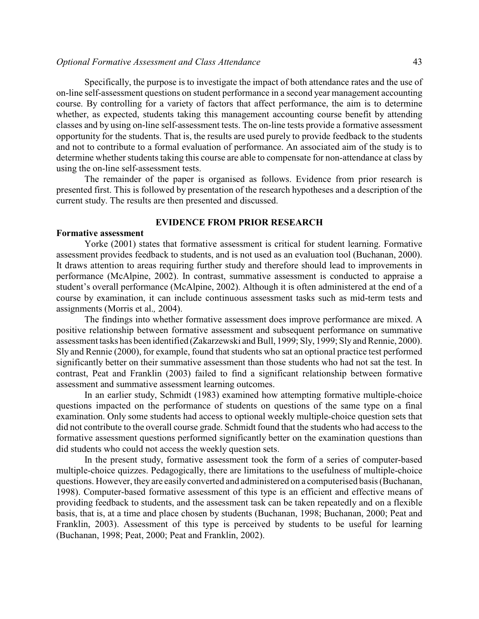## *Optional Formative Assessment and Class Attendance* 43

Specifically, the purpose is to investigate the impact of both attendance rates and the use of on-line self-assessment questions on student performance in a second year management accounting course. By controlling for a variety of factors that affect performance, the aim is to determine whether, as expected, students taking this management accounting course benefit by attending classes and by using on-line self-assessment tests. The on-line tests provide a formative assessment opportunity for the students. That is, the results are used purely to provide feedback to the students and not to contribute to a formal evaluation of performance. An associated aim of the study is to determine whether students taking this course are able to compensate for non-attendance at class by using the on-line self-assessment tests.

The remainder of the paper is organised as follows. Evidence from prior research is presented first. This is followed by presentation of the research hypotheses and a description of the current study. The results are then presented and discussed.

#### **EVIDENCE FROM PRIOR RESEARCH**

## **Formative assessment**

Yorke (2001) states that formative assessment is critical for student learning. Formative assessment provides feedback to students, and is not used as an evaluation tool (Buchanan, 2000). It draws attention to areas requiring further study and therefore should lead to improvements in performance (McAlpine, 2002). In contrast, summative assessment is conducted to appraise a student's overall performance (McAlpine, 2002). Although it is often administered at the end of a course by examination, it can include continuous assessment tasks such as mid-term tests and assignments (Morris et al.*,* 2004).

The findings into whether formative assessment does improve performance are mixed. A positive relationship between formative assessment and subsequent performance on summative assessment tasks has been identified (Zakarzewski and Bull, 1999; Sly, 1999; Sly and Rennie, 2000). Sly and Rennie (2000), for example, found that students who sat an optional practice test performed significantly better on their summative assessment than those students who had not sat the test. In contrast, Peat and Franklin (2003) failed to find a significant relationship between formative assessment and summative assessment learning outcomes.

In an earlier study, Schmidt (1983) examined how attempting formative multiple-choice questions impacted on the performance of students on questions of the same type on a final examination. Only some students had access to optional weekly multiple-choice question sets that did not contribute to the overall course grade. Schmidt found that the students who had access to the formative assessment questions performed significantly better on the examination questions than did students who could not access the weekly question sets.

In the present study, formative assessment took the form of a series of computer-based multiple-choice quizzes. Pedagogically, there are limitations to the usefulness of multiple-choice questions. However, they are easily converted and administered on a computerised basis (Buchanan, 1998). Computer-based formative assessment of this type is an efficient and effective means of providing feedback to students, and the assessment task can be taken repeatedly and on a flexible basis, that is, at a time and place chosen by students (Buchanan, 1998; Buchanan, 2000; Peat and Franklin, 2003). Assessment of this type is perceived by students to be useful for learning (Buchanan, 1998; Peat, 2000; Peat and Franklin, 2002).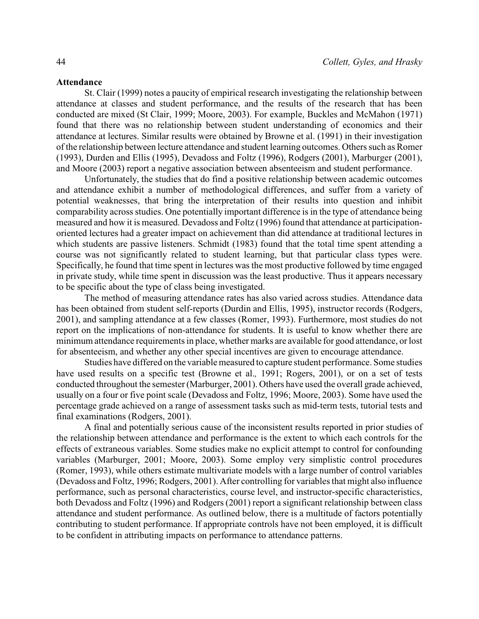#### **Attendance**

St. Clair (1999) notes a paucity of empirical research investigating the relationship between attendance at classes and student performance, and the results of the research that has been conducted are mixed (St Clair, 1999; Moore, 2003). For example, Buckles and McMahon (1971) found that there was no relationship between student understanding of economics and their attendance at lectures. Similar results were obtained by Browne et al. (1991) in their investigation of the relationship between lecture attendance and student learning outcomes. Others such as Romer (1993), Durden and Ellis (1995), Devadoss and Foltz (1996), Rodgers (2001), Marburger (2001), and Moore (2003) report a negative association between absenteeism and student performance.

Unfortunately, the studies that do find a positive relationship between academic outcomes and attendance exhibit a number of methodological differences, and suffer from a variety of potential weaknesses, that bring the interpretation of their results into question and inhibit comparability across studies. One potentially important difference is in the type of attendance being measured and how it is measured. Devadoss and Foltz (1996) found that attendance at participationoriented lectures had a greater impact on achievement than did attendance at traditional lectures in which students are passive listeners. Schmidt (1983) found that the total time spent attending a course was not significantly related to student learning, but that particular class types were. Specifically, he found that time spent in lectures was the most productive followed by time engaged in private study, while time spent in discussion was the least productive. Thus it appears necessary to be specific about the type of class being investigated.

The method of measuring attendance rates has also varied across studies. Attendance data has been obtained from student self-reports (Durdin and Ellis, 1995), instructor records (Rodgers, 2001), and sampling attendance at a few classes (Romer, 1993). Furthermore, most studies do not report on the implications of non-attendance for students. It is useful to know whether there are minimum attendance requirements in place, whether marks are available for good attendance, or lost for absenteeism, and whether any other special incentives are given to encourage attendance.

Studies have differed on the variable measured to capture student performance. Some studies have used results on a specific test (Browne et al.*,* 1991; Rogers, 2001), or on a set of tests conducted throughout the semester(Marburger, 2001). Others have used the overall grade achieved, usually on a four or five point scale (Devadoss and Foltz, 1996; Moore, 2003). Some have used the percentage grade achieved on a range of assessment tasks such as mid-term tests, tutorial tests and final examinations (Rodgers, 2001).

A final and potentially serious cause of the inconsistent results reported in prior studies of the relationship between attendance and performance is the extent to which each controls for the effects of extraneous variables. Some studies make no explicit attempt to control for confounding variables (Marburger, 2001; Moore, 2003). Some employ very simplistic control procedures (Romer, 1993), while others estimate multivariate models with a large number of control variables (Devadoss and Foltz, 1996; Rodgers, 2001). After controlling for variables that might also influence performance, such as personal characteristics, course level, and instructor-specific characteristics, both Devadoss and Foltz (1996) and Rodgers (2001) report a significant relationship between class attendance and student performance. As outlined below, there is a multitude of factors potentially contributing to student performance. If appropriate controls have not been employed, it is difficult to be confident in attributing impacts on performance to attendance patterns.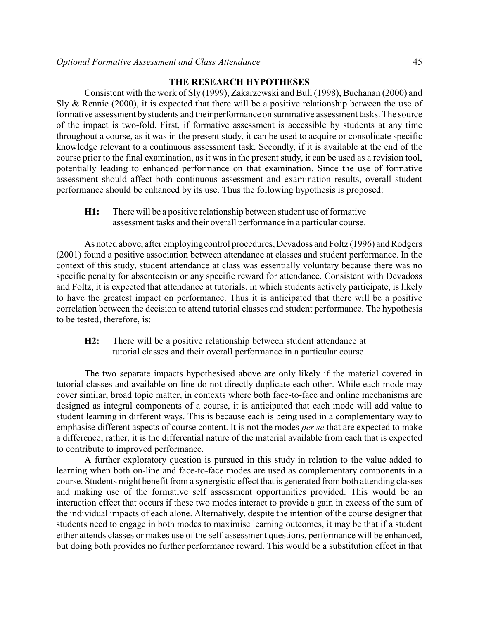# **THE RESEARCH HYPOTHESES**

Consistent with the work of Sly (1999), Zakarzewski and Bull (1998), Buchanan (2000) and Sly & Rennie (2000), it is expected that there will be a positive relationship between the use of formative assessment by students and their performance on summative assessment tasks. The source of the impact is two-fold. First, if formative assessment is accessible by students at any time throughout a course, as it was in the present study, it can be used to acquire or consolidate specific knowledge relevant to a continuous assessment task. Secondly, if it is available at the end of the course prior to the final examination, as it was in the present study, it can be used as a revision tool, potentially leading to enhanced performance on that examination. Since the use of formative assessment should affect both continuous assessment and examination results, overall student performance should be enhanced by its use. Thus the following hypothesis is proposed:

**H1:** There will be a positive relationship between student use of formative assessment tasks and their overall performance in a particular course.

As noted above, after employing control procedures, Devadoss and Foltz (1996) and Rodgers (2001) found a positive association between attendance at classes and student performance. In the context of this study, student attendance at class was essentially voluntary because there was no specific penalty for absenteeism or any specific reward for attendance. Consistent with Devadoss and Foltz, it is expected that attendance at tutorials, in which students actively participate, is likely to have the greatest impact on performance. Thus it is anticipated that there will be a positive correlation between the decision to attend tutorial classes and student performance. The hypothesis to be tested, therefore, is:

**H2:** There will be a positive relationship between student attendance at tutorial classes and their overall performance in a particular course.

The two separate impacts hypothesised above are only likely if the material covered in tutorial classes and available on-line do not directly duplicate each other. While each mode may cover similar, broad topic matter, in contexts where both face-to-face and online mechanisms are designed as integral components of a course, it is anticipated that each mode will add value to student learning in different ways. This is because each is being used in a complementary way to emphasise different aspects of course content. It is not the modes *per se* that are expected to make a difference; rather, it is the differential nature of the material available from each that is expected to contribute to improved performance.

A further exploratory question is pursued in this study in relation to the value added to learning when both on-line and face-to-face modes are used as complementary components in a course. Students might benefit from a synergistic effect that is generated from both attending classes and making use of the formative self assessment opportunities provided. This would be an interaction effect that occurs if these two modes interact to provide a gain in excess of the sum of the individual impacts of each alone. Alternatively, despite the intention of the course designer that students need to engage in both modes to maximise learning outcomes, it may be that if a student either attends classes or makes use of the self-assessment questions, performance will be enhanced, but doing both provides no further performance reward. This would be a substitution effect in that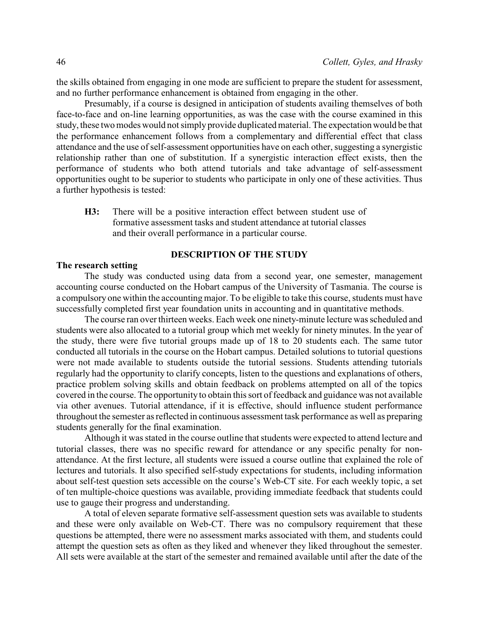the skills obtained from engaging in one mode are sufficient to prepare the student for assessment, and no further performance enhancement is obtained from engaging in the other.

Presumably, if a course is designed in anticipation of students availing themselves of both face-to-face and on-line learning opportunities, as was the case with the course examined in this study, these two modes would not simply provide duplicated material. The expectation would be that the performance enhancement follows from a complementary and differential effect that class attendance and the use of self-assessment opportunities have on each other, suggesting a synergistic relationship rather than one of substitution. If a synergistic interaction effect exists, then the performance of students who both attend tutorials and take advantage of self-assessment opportunities ought to be superior to students who participate in only one of these activities. Thus a further hypothesis is tested:

**H3:** There will be a positive interaction effect between student use of formative assessment tasks and student attendance at tutorial classes and their overall performance in a particular course.

# **DESCRIPTION OF THE STUDY**

#### **The research setting**

The study was conducted using data from a second year, one semester, management accounting course conducted on the Hobart campus of the University of Tasmania. The course is a compulsory one within the accounting major. To be eligible to take this course, students must have successfully completed first year foundation units in accounting and in quantitative methods.

The course ran over thirteen weeks. Each week one ninety-minute lecture was scheduled and students were also allocated to a tutorial group which met weekly for ninety minutes. In the year of the study, there were five tutorial groups made up of 18 to 20 students each. The same tutor conducted all tutorials in the course on the Hobart campus. Detailed solutions to tutorial questions were not made available to students outside the tutorial sessions. Students attending tutorials regularly had the opportunity to clarify concepts, listen to the questions and explanations of others, practice problem solving skills and obtain feedback on problems attempted on all of the topics covered in the course. The opportunity to obtain this sort of feedback and guidance was not available via other avenues. Tutorial attendance, if it is effective, should influence student performance throughout the semester as reflected in continuous assessment task performance as well as preparing students generally for the final examination.

Although it was stated in the course outline that students were expected to attend lecture and tutorial classes, there was no specific reward for attendance or any specific penalty for nonattendance. At the first lecture, all students were issued a course outline that explained the role of lectures and tutorials. It also specified self-study expectations for students, including information about self-test question sets accessible on the course's Web-CT site. For each weekly topic, a set of ten multiple-choice questions was available, providing immediate feedback that students could use to gauge their progress and understanding.

A total of eleven separate formative self-assessment question sets was available to students and these were only available on Web-CT. There was no compulsory requirement that these questions be attempted, there were no assessment marks associated with them, and students could attempt the question sets as often as they liked and whenever they liked throughout the semester. All sets were available at the start of the semester and remained available until after the date of the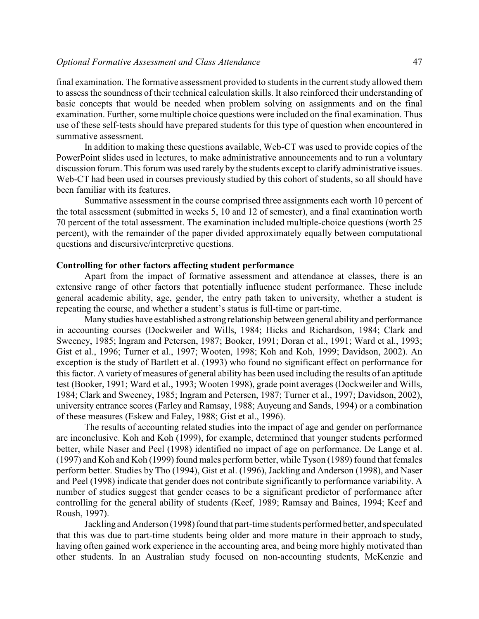## *Optional Formative Assessment and Class Attendance* 47

final examination. The formative assessment provided to students in the current study allowed them to assess the soundness of their technical calculation skills. It also reinforced their understanding of basic concepts that would be needed when problem solving on assignments and on the final examination. Further, some multiple choice questions were included on the final examination. Thus use of these self-tests should have prepared students for this type of question when encountered in summative assessment.

In addition to making these questions available, Web-CT was used to provide copies of the PowerPoint slides used in lectures, to make administrative announcements and to run a voluntary discussion forum. This forum was used rarely by the students except to clarify administrative issues. Web-CT had been used in courses previously studied by this cohort of students, so all should have been familiar with its features.

Summative assessment in the course comprised three assignments each worth 10 percent of the total assessment (submitted in weeks 5, 10 and 12 of semester), and a final examination worth 70 percent of the total assessment. The examination included multiple-choice questions (worth 25 percent), with the remainder of the paper divided approximately equally between computational questions and discursive/interpretive questions.

#### **Controlling for other factors affecting student performance**

Apart from the impact of formative assessment and attendance at classes, there is an extensive range of other factors that potentially influence student performance. These include general academic ability, age, gender, the entry path taken to university, whether a student is repeating the course, and whether a student's status is full-time or part-time.

Many studies have established a strong relationship between general ability and performance in accounting courses (Dockweiler and Wills, 1984; Hicks and Richardson, 1984; Clark and Sweeney, 1985; Ingram and Petersen, 1987; Booker, 1991; Doran et al., 1991; Ward et al., 1993; Gist et al., 1996; Turner et al., 1997; Wooten, 1998; Koh and Koh, 1999; Davidson, 2002). An exception is the study of Bartlett et al. (1993) who found no significant effect on performance for this factor. A variety of measures of general ability has been used including the results of an aptitude test (Booker, 1991; Ward et al., 1993; Wooten 1998), grade point averages (Dockweiler and Wills, 1984; Clark and Sweeney, 1985; Ingram and Petersen, 1987; Turner et al., 1997; Davidson, 2002), university entrance scores (Farley and Ramsay, 1988; Auyeung and Sands, 1994) or a combination of these measures (Eskew and Faley, 1988; Gist et al., 1996).

The results of accounting related studies into the impact of age and gender on performance are inconclusive. Koh and Koh (1999), for example, determined that younger students performed better, while Naser and Peel (1998) identified no impact of age on performance. De Lange et al. (1997) and Koh and Koh (1999) found males perform better, while Tyson (1989) found that females perform better. Studies by Tho (1994), Gist et al. (1996), Jackling and Anderson (1998), and Naser and Peel (1998) indicate that gender does not contribute significantly to performance variability. A number of studies suggest that gender ceases to be a significant predictor of performance after controlling for the general ability of students (Keef, 1989; Ramsay and Baines, 1994; Keef and Roush, 1997).

Jackling and Anderson (1998) found that part-time students performed better, and speculated that this was due to part-time students being older and more mature in their approach to study, having often gained work experience in the accounting area, and being more highly motivated than other students. In an Australian study focused on non-accounting students, McKenzie and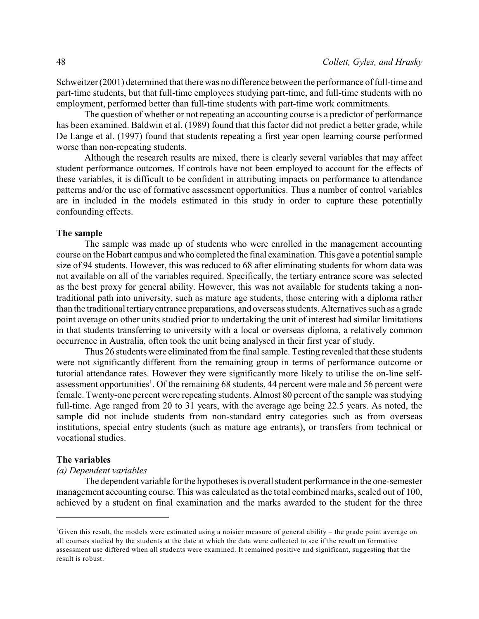Schweitzer (2001) determined that there was no difference between the performance of full-time and part-time students, but that full-time employees studying part-time, and full-time students with no employment, performed better than full-time students with part-time work commitments.

The question of whether or not repeating an accounting course is a predictor of performance has been examined. Baldwin et al. (1989) found that this factor did not predict a better grade, while De Lange et al. (1997) found that students repeating a first year open learning course performed worse than non-repeating students.

Although the research results are mixed, there is clearly several variables that may affect student performance outcomes. If controls have not been employed to account for the effects of these variables, it is difficult to be confident in attributing impacts on performance to attendance patterns and/or the use of formative assessment opportunities. Thus a number of control variables are in included in the models estimated in this study in order to capture these potentially confounding effects.

#### **The sample**

The sample was made up of students who were enrolled in the management accounting course on the Hobart campus and who completed the final examination. This gave a potential sample size of 94 students. However, this was reduced to 68 after eliminating students for whom data was not available on all of the variables required. Specifically, the tertiary entrance score was selected as the best proxy for general ability. However, this was not available for students taking a nontraditional path into university, such as mature age students, those entering with a diploma rather than the traditional tertiary entrance preparations, and overseas students. Alternatives such as a grade point average on other units studied prior to undertaking the unit of interest had similar limitations in that students transferring to university with a local or overseas diploma, a relatively common occurrence in Australia, often took the unit being analysed in their first year of study.

Thus 26 students were eliminated from the final sample. Testing revealed that these students were not significantly different from the remaining group in terms of performance outcome or tutorial attendance rates. However they were significantly more likely to utilise the on-line selfassessment opportunities<sup>1</sup>. Of the remaining 68 students, 44 percent were male and 56 percent were female. Twenty-one percent were repeating students. Almost 80 percent of the sample was studying full-time. Age ranged from 20 to 31 years, with the average age being 22.5 years. As noted, the sample did not include students from non-standard entry categories such as from overseas institutions, special entry students (such as mature age entrants), or transfers from technical or vocational studies.

## **The variables**

## *(a) Dependent variables*

The dependent variable for the hypotheses is overall student performance in the one-semester management accounting course. This was calculated as the total combined marks, scaled out of 100, achieved by a student on final examination and the marks awarded to the student for the three

Given this result, the models were estimated using a noisier measure of general ability – the grade point average on all courses studied by the students at the date at which the data were collected to see if the result on formative assessment use differed when all students were examined. It remained positive and significant, suggesting that the result is robust.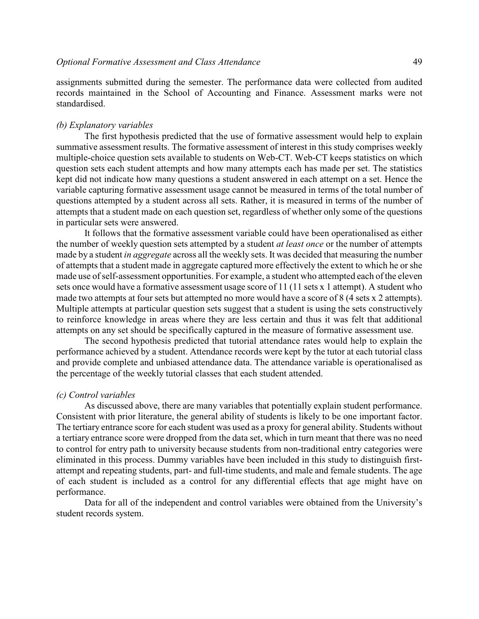assignments submitted during the semester. The performance data were collected from audited records maintained in the School of Accounting and Finance. Assessment marks were not standardised.

#### *(b) Explanatory variables*

The first hypothesis predicted that the use of formative assessment would help to explain summative assessment results. The formative assessment of interest in this study comprises weekly multiple-choice question sets available to students on Web-CT. Web-CT keeps statistics on which question sets each student attempts and how many attempts each has made per set. The statistics kept did not indicate how many questions a student answered in each attempt on a set. Hence the variable capturing formative assessment usage cannot be measured in terms of the total number of questions attempted by a student across all sets. Rather, it is measured in terms of the number of attempts that a student made on each question set, regardless of whether only some of the questions in particular sets were answered.

It follows that the formative assessment variable could have been operationalised as either the number of weekly question sets attempted by a student *at least once* or the number of attempts made by a student *in aggregate* across all the weekly sets. It was decided that measuring the number of attempts that a student made in aggregate captured more effectively the extent to which he or she made use of self-assessment opportunities. For example, a student who attempted each of the eleven sets once would have a formative assessment usage score of 11 (11 sets x 1 attempt). A student who made two attempts at four sets but attempted no more would have a score of 8 (4 sets x 2 attempts). Multiple attempts at particular question sets suggest that a student is using the sets constructively to reinforce knowledge in areas where they are less certain and thus it was felt that additional attempts on any set should be specifically captured in the measure of formative assessment use.

The second hypothesis predicted that tutorial attendance rates would help to explain the performance achieved by a student. Attendance records were kept by the tutor at each tutorial class and provide complete and unbiased attendance data. The attendance variable is operationalised as the percentage of the weekly tutorial classes that each student attended.

#### *(c) Control variables*

As discussed above, there are many variables that potentially explain student performance. Consistent with prior literature, the general ability of students is likely to be one important factor. The tertiary entrance score for each student was used as a proxy for general ability. Students without a tertiary entrance score were dropped from the data set, which in turn meant that there was no need to control for entry path to university because students from non-traditional entry categories were eliminated in this process. Dummy variables have been included in this study to distinguish firstattempt and repeating students, part- and full-time students, and male and female students. The age of each student is included as a control for any differential effects that age might have on performance.

Data for all of the independent and control variables were obtained from the University's student records system.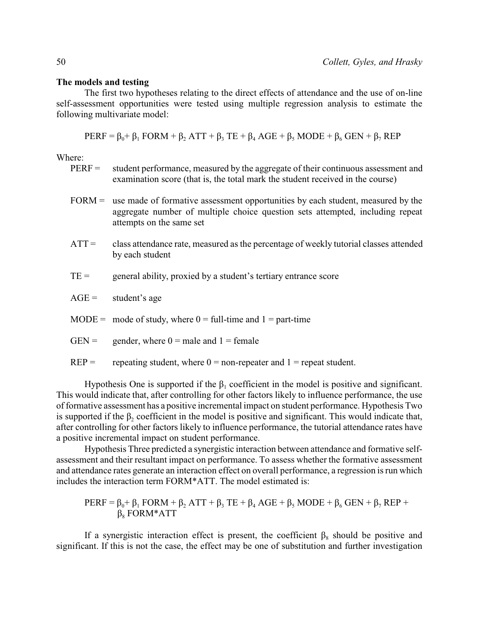## **The models and testing**

The first two hypotheses relating to the direct effects of attendance and the use of on-line self-assessment opportunities were tested using multiple regression analysis to estimate the following multivariate model:

 $PERF = \beta_0 + \beta_1 FORM + \beta_2 ATT + \beta_3 TE + \beta_4 AGE + \beta_5 MODEL + \beta_6 GEN + \beta_7 REP$ 

Where:

- PERF = student performance, measured by the aggregate of their continuous assessment and examination score (that is, the total mark the student received in the course)
- FORM = use made of formative assessment opportunities by each student, measured by the aggregate number of multiple choice question sets attempted, including repeat attempts on the same set
- ATT = class attendance rate, measured as the percentage of weekly tutorial classes attended by each student
- $TE =$  general ability, proxied by a student's tertiary entrance score

 $AGE =$  student's age

- MODE = mode of study, where  $0 = \text{full-time}$  and  $1 = \text{part-time}$
- $GEN =$  gender, where  $0 =$  male and  $1 =$  female
- $REP =$  repeating student, where  $0 =$  non-repeater and  $1 =$  repeat student.

Hypothesis One is supported if the  $\beta_1$  coefficient in the model is positive and significant. This would indicate that, after controlling for other factors likely to influence performance, the use of formative assessment has a positive incremental impact on student performance. Hypothesis Two is supported if the  $\beta_2$  coefficient in the model is positive and significant. This would indicate that, after controlling for other factors likely to influence performance, the tutorial attendance rates have a positive incremental impact on student performance.

Hypothesis Three predicted a synergistic interaction between attendance and formative selfassessment and their resultant impact on performance. To assess whether the formative assessment and attendance rates generate an interaction effect on overall performance, a regression is run which includes the interaction term FORM\*ATT. The model estimated is:

PERF = 
$$
β_0 + β_1
$$
 FORM +  $β_2$  ATT +  $β_3$  TE +  $β_4$ AGE +  $β_5$  MODE +  $β_6$  GEN +  $β_7$  REP +  $β_8$  FORM\*ATT

If a synergistic interaction effect is present, the coefficient  $\beta_8$  should be positive and significant. If this is not the case, the effect may be one of substitution and further investigation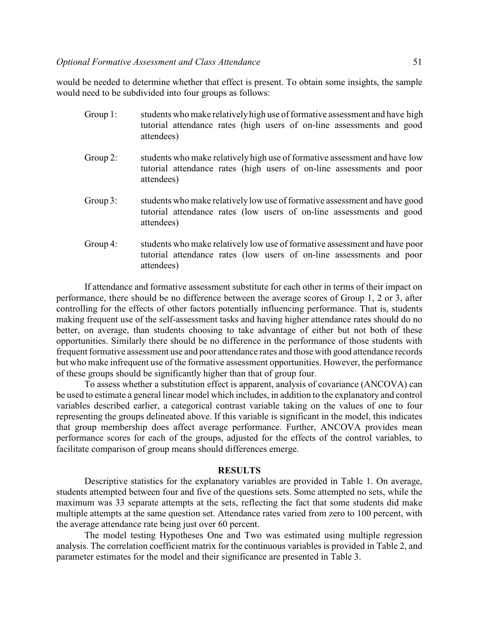would be needed to determine whether that effect is present. To obtain some insights, the sample would need to be subdivided into four groups as follows:

- Group 1: students who make relatively high use of formative assessment and have high tutorial attendance rates (high users of on-line assessments and good attendees)
- Group 2: students who make relatively high use of formative assessment and have low tutorial attendance rates (high users of on-line assessments and poor attendees)
- Group 3: students who make relatively low use of formative assessment and have good tutorial attendance rates (low users of on-line assessments and good attendees)
- Group 4: students who make relatively low use of formative assessment and have poor tutorial attendance rates (low users of on-line assessments and poor attendees)

If attendance and formative assessment substitute for each other in terms of their impact on performance, there should be no difference between the average scores of Group 1, 2 or 3, after controlling for the effects of other factors potentially influencing performance. That is, students making frequent use of the self-assessment tasks and having higher attendance rates should do no better, on average, than students choosing to take advantage of either but not both of these opportunities. Similarly there should be no difference in the performance of those students with frequent formative assessment use and poor attendance rates and those with good attendance records but who make infrequent use of the formative assessment opportunities. However, the performance of these groups should be significantly higher than that of group four.

To assess whether a substitution effect is apparent, analysis of covariance (ANCOVA) can be used to estimate a general linear model which includes, in addition to the explanatory and control variables described earlier, a categorical contrast variable taking on the values of one to four representing the groups delineated above. If this variable is significant in the model, this indicates that group membership does affect average performance. Further, ANCOVA provides mean performance scores for each of the groups, adjusted for the effects of the control variables, to facilitate comparison of group means should differences emerge.

## **RESULTS**

Descriptive statistics for the explanatory variables are provided in Table 1. On average, students attempted between four and five of the questions sets. Some attempted no sets, while the maximum was 33 separate attempts at the sets, reflecting the fact that some students did make multiple attempts at the same question set. Attendance rates varied from zero to 100 percent, with the average attendance rate being just over 60 percent.

The model testing Hypotheses One and Two was estimated using multiple regression analysis. The correlation coefficient matrix for the continuous variables is provided in Table 2, and parameter estimates for the model and their significance are presented in Table 3.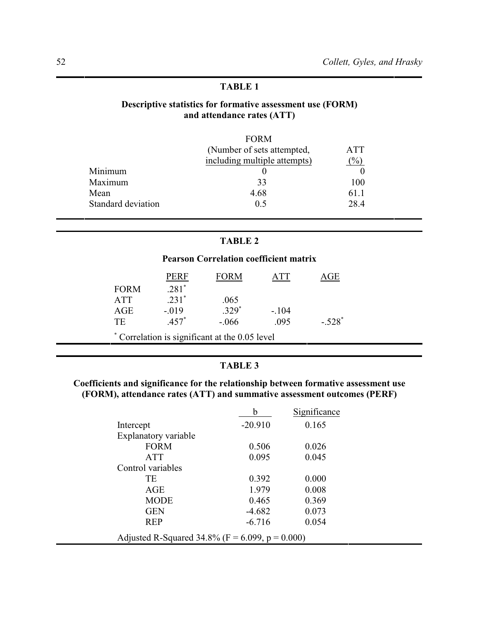# **TABLE 1**

# **Descriptive statistics for formative assessment use (FORM) and attendance rates (ATT)**

|                    | <b>FORM</b>                  |                  |
|--------------------|------------------------------|------------------|
|                    | (Number of sets attempted,   | <b>ATT</b>       |
|                    | including multiple attempts) | $\mathcal{O}'_0$ |
| Minimum            |                              |                  |
| Maximum            | 33                           | 100              |
| Mean               | 4.68                         | 61.1             |
| Standard deviation | 0.5                          | 28.4             |

# **TABLE 2**

# **Pearson Correlation coefficient matrix**

|                                                | PERF    | <b>FORM</b> | A TT    | ìЕ       |  |
|------------------------------------------------|---------|-------------|---------|----------|--|
| <b>FORM</b>                                    | $.281*$ |             |         |          |  |
| <b>ATT</b>                                     | $.231*$ | .065        |         |          |  |
| AGE                                            | $-.019$ | $.329*$     | $-.104$ |          |  |
| TE                                             | $.457*$ | $-.066$     | .095    | $-.528*$ |  |
| * Correlation is significant at the 0.05 level |         |             |         |          |  |

# **TABLE 3**

# **Coefficients and significance for the relationship between formative assessment use (FORM), attendance rates (ATT) and summative assessment outcomes (PERF)**

|                                                 | h         | Significance |  |  |
|-------------------------------------------------|-----------|--------------|--|--|
| Intercept                                       | $-20.910$ | 0.165        |  |  |
| Explanatory variable                            |           |              |  |  |
| <b>FORM</b>                                     | 0.506     | 0.026        |  |  |
| <b>ATT</b>                                      | 0.095     | 0.045        |  |  |
| Control variables                               |           |              |  |  |
| ТE                                              | 0.392     | 0.000        |  |  |
| AGE                                             | 1.979     | 0.008        |  |  |
| <b>MODE</b>                                     | 0.465     | 0.369        |  |  |
| <b>GEN</b>                                      | $-4.682$  | 0.073        |  |  |
| <b>REP</b>                                      | $-6.716$  | 0.054        |  |  |
| Adjusted R-Squared 34.8% (F = 6.099, p = 0.000) |           |              |  |  |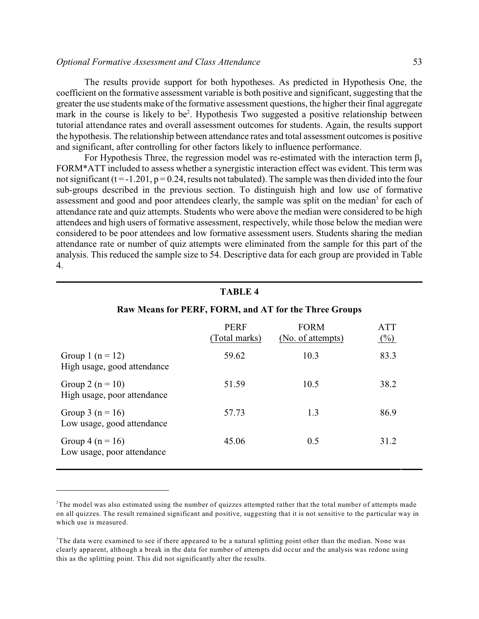#### *Optional Formative Assessment and Class Attendance* 53

The results provide support for both hypotheses. As predicted in Hypothesis One, the coefficient on the formative assessment variable is both positive and significant, suggesting that the greater the use students make of the formative assessment questions, the higher their final aggregate mark in the course is likely to be<sup>2</sup>. Hypothesis Two suggested a positive relationship between tutorial attendance rates and overall assessment outcomes for students. Again, the results support the hypothesis. The relationship between attendance rates and total assessment outcomes is positive and significant, after controlling for other factors likely to influence performance.

For Hypothesis Three, the regression model was re-estimated with the interaction term  $\beta_8$ FORM\*ATT included to assess whether a synergistic interaction effect was evident. This term was not significant (t = -1.201,  $p = 0.24$ , results not tabulated). The sample was then divided into the four sub-groups described in the previous section. To distinguish high and low use of formative assessment and good and poor attendees clearly, the sample was split on the median<sup>3</sup> for each of attendance rate and quiz attempts. Students who were above the median were considered to be high attendees and high users of formative assessment, respectively, while those below the median were considered to be poor attendees and low formative assessment users. Students sharing the median attendance rate or number of quiz attempts were eliminated from the sample for this part of the analysis. This reduced the sample size to 54. Descriptive data for each group are provided in Table 4.

#### **TABLE 4**

#### **Raw Means for PERF, FORM, and AT for the Three Groups**

|                                                     | <b>PERF</b><br>(Total marks) | <b>FORM</b><br>(No. of attempts) | <b>ATT</b><br>$(\%)$ |
|-----------------------------------------------------|------------------------------|----------------------------------|----------------------|
| Group 1 $(n = 12)$<br>High usage, good attendance   | 59.62                        | 10.3                             | 83.3                 |
| Group 2 ( $n = 10$ )<br>High usage, poor attendance | 51.59                        | 10.5                             | 38.2                 |
| Group 3 ( $n = 16$ )<br>Low usage, good attendance  | 57.73                        | 1.3                              | 86.9                 |
| Group 4 ( $n = 16$ )<br>Low usage, poor attendance  | 45.06                        | 0.5                              | 31.2                 |

<sup>&</sup>lt;sup>2</sup>The model was also estimated using the number of quizzes attempted rather that the total number of attempts made on all quizzes. The result remained significant and positive, suggesting that it is not sensitive to the particular way in which use is measured.

 $3$ The data were examined to see if there appeared to be a natural splitting point other than the median. None was clearly apparent, although a break in the data for number of attempts did occur and the analysis was redone using this as the splitting point. This did not significantly alter the results.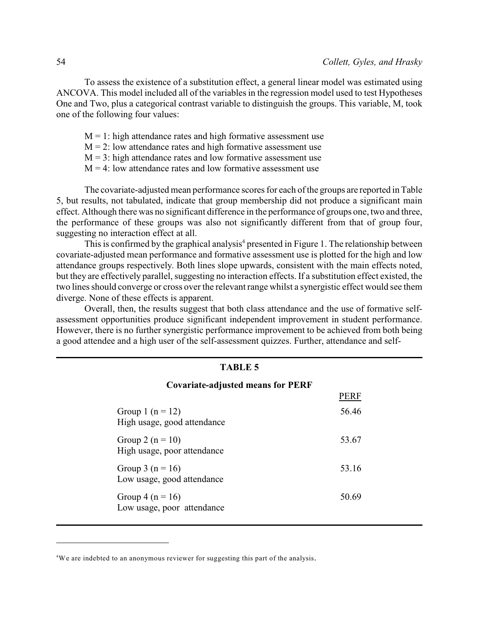PERF

To assess the existence of a substitution effect, a general linear model was estimated using ANCOVA. This model included all of the variables in the regression model used to test Hypotheses One and Two, plus a categorical contrast variable to distinguish the groups. This variable, M, took one of the following four values:

- $M = 1$ : high attendance rates and high formative assessment use
- $M = 2$ : low attendance rates and high formative assessment use
- $M = 3$ : high attendance rates and low formative assessment use
- $M = 4$ : low attendance rates and low formative assessment use

The covariate-adjusted mean performance scores for each of the groups are reported in Table 5, but results, not tabulated, indicate that group membership did not produce a significant main effect. Although there was no significant difference in the performance of groups one, two and three, the performance of these groups was also not significantly different from that of group four, suggesting no interaction effect at all.

This is confirmed by the graphical analysis<sup>4</sup> presented in Figure 1. The relationship between covariate-adjusted mean performance and formative assessment use is plotted for the high and low attendance groups respectively. Both lines slope upwards, consistent with the main effects noted, but they are effectively parallel, suggesting no interaction effects. If a substitution effect existed, the two lines should converge or cross over the relevant range whilst a synergistic effect would see them diverge. None of these effects is apparent.

Overall, then, the results suggest that both class attendance and the use of formative selfassessment opportunities produce significant independent improvement in student performance. However, there is no further synergistic performance improvement to be achieved from both being a good attendee and a high user of the self-assessment quizzes. Further, attendance and self-

# **TABLE 5**

# **Covariate-adjusted means for PERF**

|                                                     | .     |
|-----------------------------------------------------|-------|
| Group 1 $(n = 12)$<br>High usage, good attendance   | 56.46 |
| Group 2 ( $n = 10$ )<br>High usage, poor attendance | 53.67 |
| Group 3 ( $n = 16$ )<br>Low usage, good attendance  | 53.16 |
| Group 4 ( $n = 16$ )<br>Low usage, poor attendance  | 50.69 |

<sup>&</sup>lt;sup>4</sup>We are indebted to an anonymous reviewer for suggesting this part of the analysis.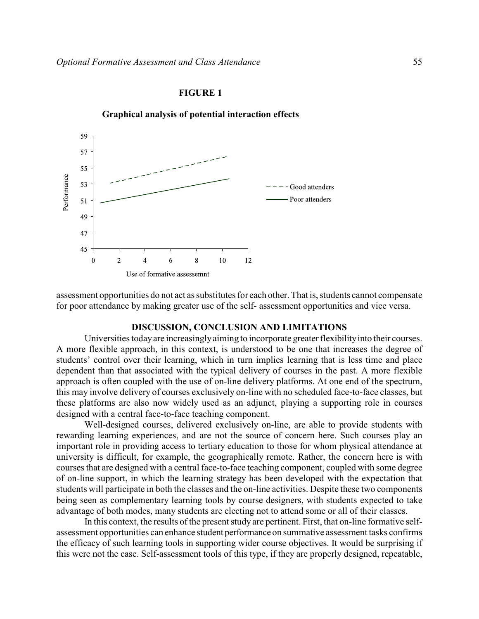#### **FIGURE 1**



**Graphical analysis of potential interaction effects**

assessment opportunities do not act as substitutes for each other. That is, students cannot compensate for poor attendance by making greater use of the self- assessment opportunities and vice versa.

## **DISCUSSION, CONCLUSION AND LIMITATIONS**

Universities today are increasingly aiming to incorporate greater flexibility into their courses. A more flexible approach, in this context, is understood to be one that increases the degree of students' control over their learning, which in turn implies learning that is less time and place dependent than that associated with the typical delivery of courses in the past. A more flexible approach is often coupled with the use of on-line delivery platforms. At one end of the spectrum, this may involve delivery of courses exclusively on-line with no scheduled face-to-face classes, but these platforms are also now widely used as an adjunct, playing a supporting role in courses designed with a central face-to-face teaching component.

Well-designed courses, delivered exclusively on-line, are able to provide students with rewarding learning experiences, and are not the source of concern here. Such courses play an important role in providing access to tertiary education to those for whom physical attendance at university is difficult, for example, the geographically remote. Rather, the concern here is with courses that are designed with a central face-to-face teaching component, coupled with some degree of on-line support, in which the learning strategy has been developed with the expectation that students will participate in both the classes and the on-line activities. Despite these two components being seen as complementary learning tools by course designers, with students expected to take advantage of both modes, many students are electing not to attend some or all of their classes.

In this context, the results of the present study are pertinent. First, that on-line formative selfassessment opportunities can enhance student performance on summative assessment tasks confirms the efficacy of such learning tools in supporting wider course objectives. It would be surprising if this were not the case. Self-assessment tools of this type, if they are properly designed, repeatable,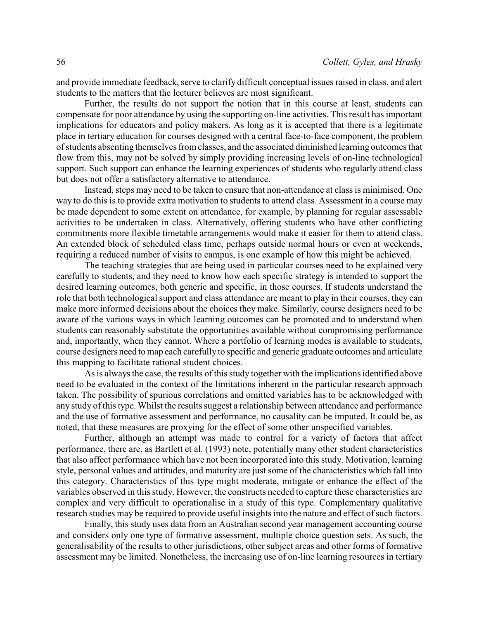and provide immediate feedback, serve to clarify difficult conceptual issues raised in class, and alert students to the matters that the lecturer believes are most significant.

Further, the results do not support the notion that in this course at least, students can compensate for poor attendance by using the supporting on-line activities. This result has important implications for educators and policy makers. As long as it is accepted that there is a legitimate place in tertiary education for courses designed with a central face-to-face component, the problem of students absenting themselves from classes, and the associated diminished learning outcomes that flow from this, may not be solved by simply providing increasing levels of on-line technological support. Such support can enhance the learning experiences of students who regularly attend class but does not offer a satisfactory alternative to attendance.

Instead, steps may need to be taken to ensure that non-attendance at class is minimised. One way to do this is to provide extra motivation to students to attend class. Assessment in a course may be made dependent to some extent on attendance, for example, by planning for regular assessable activities to be undertaken in class. Alternatively, offering students who have other conflicting commitments more flexible timetable arrangements would make it easier for them to attend class. An extended block of scheduled class time, perhaps outside normal hours or even at weekends, requiring a reduced number of visits to campus, is one example of how this might be achieved.

The teaching strategies that are being used in particular courses need to be explained very carefully to students, and they need to know how each specific strategy is intended to support the desired learning outcomes, both generic and specific, in those courses. If students understand the role that both technological support and class attendance are meant to play in their courses, they can make more informed decisions about the choices they make. Similarly, course designers need to be aware of the various ways in which learning outcomes can be promoted and to understand when students can reasonably substitute the opportunities available without compromising performance and, importantly, when they cannot. Where a portfolio of learning modes is available to students, course designers need to map each carefullyto specific and generic graduate outcomes and articulate this mapping to facilitate rational student choices.

As is always the case, the results of this study together with the implications identified above need to be evaluated in the context of the limitations inherent in the particular research approach taken. The possibility of spurious correlations and omitted variables has to be acknowledged with any study of this type. Whilst the results suggest a relationship between attendance and performance and the use of formative assessment and performance, no causality can be imputed. It could be, as noted, that these measures are proxying for the effect of some other unspecified variables.

Further, although an attempt was made to control for a variety of factors that affect performance, there are, as Bartlett et al. (1993) note, potentially many other student characteristics that also affect performance which have not been incorporated into this study. Motivation, learning style, personal values and attitudes, and maturity are just some of the characteristics which fall into this category. Characteristics of this type might moderate, mitigate or enhance the effect of the variables observed in this study. However, the constructs needed to capture these characteristics are complex and very difficult to operationalise in a study of this type. Complementary qualitative research studies may be required to provide useful insights into the nature and effect of such factors.

Finally, this study uses data from an Australian second year management accounting course and considers only one type of formative assessment, multiple choice question sets. As such, the generalisability of the results to other jurisdictions, other subject areas and other forms of formative assessment may be limited. Nonetheless, the increasing use of on-line learning resources in tertiary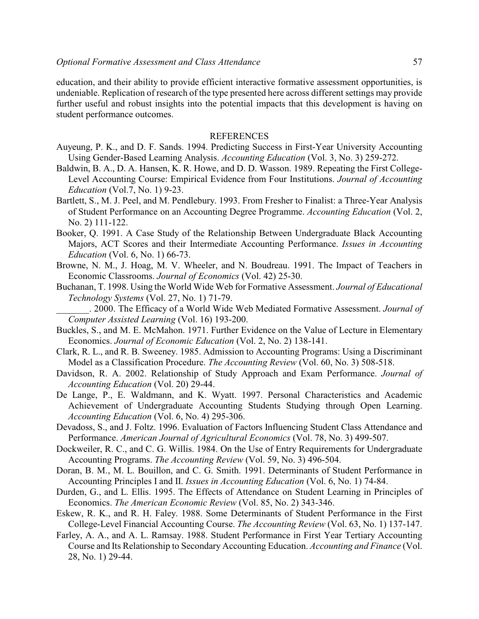education, and their ability to provide efficient interactive formative assessment opportunities, is undeniable. Replication of research of the type presented here across different settings may provide further useful and robust insights into the potential impacts that this development is having on student performance outcomes.

## **REFERENCES**

- Auyeung, P. K., and D. F. Sands. 1994. Predicting Success in First-Year University Accounting Using Gender-Based Learning Analysis. *Accounting Education* (Vol. 3, No. 3) 259-272.
- Baldwin, B. A., D. A. Hansen, K. R. Howe, and D. D. Wasson. 1989. Repeating the First College-Level Accounting Course: Empirical Evidence from Four Institutions. *Journal of Accounting Education* (Vol.7, No. 1) 9-23.
- Bartlett, S., M. J. Peel, and M. Pendlebury. 1993. From Fresher to Finalist: a Three-Year Analysis of Student Performance on an Accounting Degree Programme. *Accounting Education* (Vol. 2, No. 2) 111-122.
- Booker, Q. 1991. A Case Study of the Relationship Between Undergraduate Black Accounting Majors, ACT Scores and their Intermediate Accounting Performance. *Issues in Accounting Education* (Vol. 6, No. 1) 66-73.
- Browne, N. M., J. Hoag, M. V. Wheeler, and N. Boudreau. 1991. The Impact of Teachers in Economic Classrooms. *Journal of Economics* (Vol. 42) 25-30.
- Buchanan, T. 1998. Using the World Wide Web for Formative Assessment. *Journal of Educational Technology Systems* (Vol. 27, No. 1) 71-79.

\_\_\_\_\_\_\_. 2000. The Efficacy of a World Wide Web Mediated Formative Assessment. *Journal of Computer Assisted Learning* (Vol. 16) 193-200.

- Buckles, S., and M. E. McMahon. 1971. Further Evidence on the Value of Lecture in Elementary Economics. *Journal of Economic Education* (Vol. 2, No. 2) 138-141.
- Clark, R. L., and R. B. Sweeney. 1985. Admission to Accounting Programs: Using a Discriminant Model as a Classification Procedure. *The Accounting Review* (Vol. 60, No. 3) 508-518.
- Davidson, R. A. 2002. Relationship of Study Approach and Exam Performance. *Journal of Accounting Education* (Vol. 20) 29-44.
- De Lange, P., E. Waldmann, and K. Wyatt. 1997. Personal Characteristics and Academic Achievement of Undergraduate Accounting Students Studying through Open Learning. *Accounting Education* (Vol. 6, No. 4) 295-306.
- Devadoss, S., and J. Foltz. 1996. Evaluation of Factors Influencing Student Class Attendance and Performance. *American Journal of Agricultural Economics* (Vol. 78, No. 3) 499-507.
- Dockweiler, R. C., and C. G. Willis. 1984. On the Use of Entry Requirements for Undergraduate Accounting Programs. *The Accounting Review* (Vol. 59, No. 3) 496-504.
- Doran, B. M., M. L. Bouillon, and C. G. Smith. 1991. Determinants of Student Performance in Accounting Principles I and II. *Issues in Accounting Education* (Vol. 6, No. 1) 74-84.
- Durden, G., and L. Ellis. 1995. The Effects of Attendance on Student Learning in Principles of Economics. *The American Economic Review* (Vol. 85, No. 2) 343-346.
- Eskew, R. K., and R. H. Faley. 1988. Some Determinants of Student Performance in the First College-Level Financial Accounting Course. *The Accounting Review* (Vol. 63, No. 1) 137-147.
- Farley, A. A., and A. L. Ramsay. 1988. Student Performance in First Year Tertiary Accounting Course and Its Relationship to Secondary Accounting Education. *Accounting and Finance* (Vol. 28, No. 1) 29-44.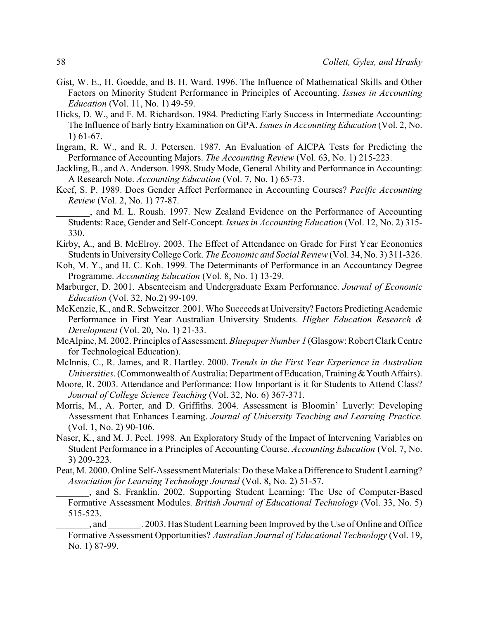- Gist, W. E., H. Goedde, and B. H. Ward. 1996. The Influence of Mathematical Skills and Other Factors on Minority Student Performance in Principles of Accounting. *Issues in Accounting Education* (Vol. 11, No. 1) 49-59.
- Hicks, D. W., and F. M. Richardson. 1984. Predicting Early Success in Intermediate Accounting: The Influence of Early Entry Examination on GPA. *Issues in Accounting Education* (Vol. 2, No. 1) 61-67.
- Ingram, R. W., and R. J. Petersen. 1987. An Evaluation of AICPA Tests for Predicting the Performance of Accounting Majors. *The Accounting Review* (Vol. 63, No. 1) 215-223.
- Jackling, B., and A. Anderson. 1998. Study Mode, General Ability and Performance in Accounting: A Research Note. *Accounting Education* (Vol. 7, No. 1) 65-73.
- Keef, S. P. 1989. Does Gender Affect Performance in Accounting Courses? *Pacific Accounting Review* (Vol. 2, No. 1) 77-87.

\_\_\_\_\_\_\_, and M. L. Roush. 1997. New Zealand Evidence on the Performance of Accounting Students: Race, Gender and Self-Concept. *Issues in Accounting Education* (Vol. 12, No. 2) 315- 330.

- Kirby, A., and B. McElroy. 2003. The Effect of Attendance on Grade for First Year Economics Students in University College Cork. *The Economic and Social Review* (Vol. 34, No. 3) 311-326.
- Koh, M. Y., and H. C. Koh. 1999. The Determinants of Performance in an Accountancy Degree Programme. *Accounting Education* (Vol. 8, No. 1) 13-29.
- Marburger, D. 2001. Absenteeism and Undergraduate Exam Performance. *Journal of Economic Education* (Vol. 32, No.2) 99-109.
- McKenzie, K., and R. Schweitzer. 2001. Who Succeeds at University? Factors Predicting Academic Performance in First Year Australian University Students. *Higher Education Research & Development* (Vol. 20, No. 1) 21-33.
- McAlpine, M. 2002. Principles of Assessment. *Bluepaper Number 1* (Glasgow: Robert Clark Centre for Technological Education).
- McInnis, C., R. James, and R. Hartley. 2000. *Trends in the First Year Experience in Australian Universities*. (Commonwealth of Australia: Department of Education, Training & Youth Affairs).
- Moore, R. 2003. Attendance and Performance: How Important is it for Students to Attend Class? *Journal of College Science Teaching* (Vol. 32, No. 6) 367-371.
- Morris, M., A. Porter, and D. Griffiths. 2004. Assessment is Bloomin' Luverly: Developing Assessment that Enhances Learning. *Journal of University Teaching and Learning Practice.* (Vol. 1, No. 2) 90-106.
- Naser, K., and M. J. Peel. 1998. An Exploratory Study of the Impact of Intervening Variables on Student Performance in a Principles of Accounting Course. *Accounting Education* (Vol. 7, No. 3) 209-223.
- Peat, M. 2000. Online Self-Assessment Materials: Do these Make a Difference to Student Learning? *Association for Learning Technology Journal* (Vol. 8, No. 2) 51-57.
	- \_\_\_\_\_\_\_, and S. Franklin. 2002. Supporting Student Learning: The Use of Computer-Based Formative Assessment Modules. *British Journal of Educational Technology* (Vol. 33, No. 5) 515-523.

, and  $.2003$ . Has Student Learning been Improved by the Use of Online and Office Formative Assessment Opportunities? *Australian Journal of Educational Technology* (Vol. 19, No. 1) 87-99.